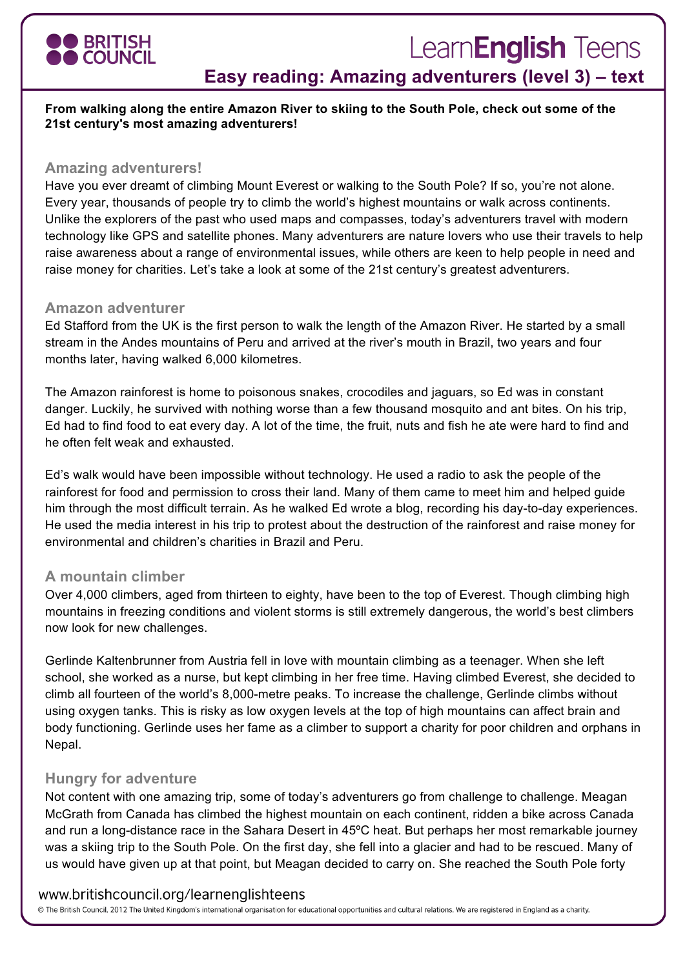

# LearnEnglish Teens

## **Easy reading: Amazing adventurers (level 3) – text**

**From walking along the entire Amazon River to skiing to the South Pole, check out some of the 21st century's most amazing adventurers!**

#### **Amazing adventurers!**

Have you ever dreamt of climbing Mount Everest or walking to the South Pole? If so, you're not alone. Every year, thousands of people try to climb the world's highest mountains or walk across continents. Unlike the explorers of the past who used maps and compasses, today's adventurers travel with modern technology like GPS and satellite phones. Many adventurers are nature lovers who use their travels to help raise awareness about a range of environmental issues, while others are keen to help people in need and raise money for charities. Let's take a look at some of the 21st century's greatest adventurers.

#### **Amazon adventurer**

Ed Stafford from the UK is the first person to walk the length of the Amazon River. He started by a small stream in the Andes mountains of Peru and arrived at the river's mouth in Brazil, two years and four months later, having walked 6,000 kilometres.

The Amazon rainforest is home to poisonous snakes, crocodiles and jaguars, so Ed was in constant danger. Luckily, he survived with nothing worse than a few thousand mosquito and ant bites. On his trip, Ed had to find food to eat every day. A lot of the time, the fruit, nuts and fish he ate were hard to find and he often felt weak and exhausted.

Ed's walk would have been impossible without technology. He used a radio to ask the people of the rainforest for food and permission to cross their land. Many of them came to meet him and helped guide him through the most difficult terrain. As he walked Ed wrote a blog, recording his day-to-day experiences. He used the media interest in his trip to protest about the destruction of the rainforest and raise money for environmental and children's charities in Brazil and Peru.

#### **A mountain climber**

Over 4,000 climbers, aged from thirteen to eighty, have been to the top of Everest. Though climbing high mountains in freezing conditions and violent storms is still extremely dangerous, the world's best climbers now look for new challenges.

Gerlinde Kaltenbrunner from Austria fell in love with mountain climbing as a teenager. When she left school, she worked as a nurse, but kept climbing in her free time. Having climbed Everest, she decided to climb all fourteen of the world's 8,000-metre peaks. To increase the challenge, Gerlinde climbs without using oxygen tanks. This is risky as low oxygen levels at the top of high mountains can affect brain and body functioning. Gerlinde uses her fame as a climber to support a charity for poor children and orphans in Nepal.

#### **Hungry for adventure**

Not content with one amazing trip, some of today's adventurers go from challenge to challenge. Meagan McGrath from Canada has climbed the highest mountain on each continent, ridden a bike across Canada and run a long-distance race in the Sahara Desert in 45ºC heat. But perhaps her most remarkable journey was a skiing trip to the South Pole. On the first day, she fell into a glacier and had to be rescued. Many of us would have given up at that point, but Meagan decided to carry on. She reached the South Pole forty

#### www.britishcouncil.org/learnenglishteens

© The British Council, 2012 The United Kingdom's international organisation for educational opportunities and cultural relations. We are registered in England as a charity.